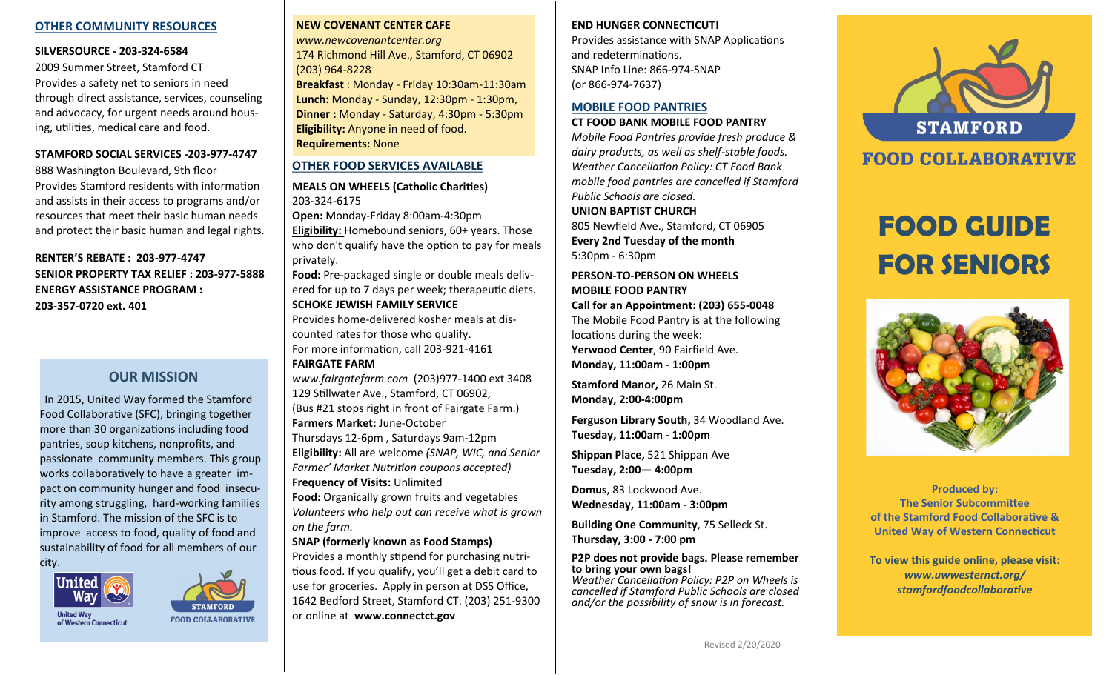#### **OTHER COMMUNITY RESOURCES**

# **SILVERSOURCE - 203-324-6584**

2009 Summer Street, Stamford CT Provides a safety net to seniors in need through direct assistance, services, counseling and advocacy, for urgent needs around housing, utilities, medical care and food.

# **STAMFORD SOCIAL SERVICES -203-977-4747**

888 Washington Boulevard, 9th floor Provides Stamford residents with information and assists in their access to programs and/or resources that meet their basic human needs and protect their basic human and legal rights.

# **RENTER'S REBATE : 203-977-4747 SENIOR PROPERTY TAX RELIEF : 203-977-5888 ENERGY ASSISTANCE PROGRAM : 203-357-0720 ext. 401**

# **OUR MISSION**

 In 2015, United Way formed the Stamford Food Collaborative (SFC), bringing together more than 30 organizations including food pantries, soup kitchens, nonprofits, and passionate community members. This group works collaboratively to have a greater impact on community hunger and food insecurity among struggling, hard-working families in Stamford. The mission of the SFC is to improve access to food, quality of food and sustainability of food for all members of our city.



of Western Connecticut



**FOOD COLLABORATIVE** 

#### **NEW COVENANT CENTER CAFE**

*www.newcovenantcenter.org* 174 Richmond Hill Ave., Stamford, CT 06902 (203) 964-8228 **Breakfast** : Monday - Friday 10:30am-11:30am **Lunch:** Monday - Sunday, 12:30pm - 1:30pm, **Dinner :** Monday - Saturday, 4:30pm - 5:30pm **Eligibility:** Anyone in need of food. **Requirements:** None

### **OTHER FOOD SERVICES AVAILABLE**

**MEALS ON WHEELS (Catholic Charities)** 203-324-6175

**Open:** Monday-Friday 8:00am-4:30pm **Eligibility:** Homebound seniors, 60+ years. Those who don't qualify have the option to pay for meals privately.

**Food:** Pre-packaged single or double meals delivered for up to 7 days per week; therapeutic diets. **SCHOKE JEWISH FAMILY SERVICE**

Provides home-delivered kosher meals at discounted rates for those who qualify. For more information, call 203-921-4161 **FAIRGATE FARM**

*www.fairgatefarm.com* (203)977-1400 ext 3408 129 Stillwater Ave., Stamford, CT 06902, (Bus #21 stops right in front of Fairgate Farm.) **Farmers Market:** June-October

Thursdays 12-6pm , Saturdays 9am-12pm **Eligibility:** All are welcome *(SNAP, WIC, and Senior Farmer' Market Nutrition coupons accepted)* **Frequency of Visits:** Unlimited

**Food:** Organically grown fruits and vegetables *Volunteers who help out can receive what is grown on the farm.* 

# **SNAP (formerly known as Food Stamps)**

Provides a monthly stipend for purchasing nutritious food. If you qualify, you'll get a debit card to use for groceries. Apply in person at DSS Office, 1642 Bedford Street, Stamford CT. [\(203\) 251](https://www.google.com/search?safe=off&rlz=1C1CHBF_enUS823US823&sxsrf=ACYBGNSvqJax9TmFDXBaCHzsvWMGvIGQDg%3A1569612482444&ei=wmKOXebOGqid5wKZs4eYCQ&q=Stamford+DSS+Office&oq=Stamford+DSS+Office&gs_l=psy-ab.3..35i39j0j0i22i30l8.1659.7235..7546...0.0..0.154.1460.)-9300 or online at **www.connectct.gov** 

# **END HUNGER CONNECTICUT!**

Provides assistance with SNAP Applications and redeterminations. SNAP Info Line: 866-974-SNAP (or 866-974-7637)

#### **MOBILE FOOD PANTRIES CT FOOD BANK MOBILE FOOD PANTRY**

*Mobile Food Pantries provide fresh produce & dairy products, as well as shelf-stable foods. Weather Cancellation Policy: CT Food Bank mobile food pantries are cancelled if Stamford Public Schools are closed.*

**UNION BAPTIST CHURCH**

805 Newfield Ave., Stamford, CT 06905 **Every 2nd Tuesday of the month** 5:30pm - 6:30pm

**PERSON-TO-PERSON ON WHEELS MOBILE FOOD PANTRY Call for an Appointment: (203) 655-0048** The Mobile Food Pantry is at the following locations during the week: **Yerwood Center**, 90 Fairfield Ave. **Monday, 11:00am - 1:00pm** 

**Stamford Manor,** 26 Main St. **Monday, 2:00-4:00pm** 

**Ferguson Library South,** 34 Woodland Ave. **Tuesday, 11:00am - 1:00pm**

**Shippan Place,** 521 Shippan Ave **Tuesday, 2:00— 4:00pm**

**Domus**, 83 Lockwood Ave. **Wednesday, 11:00am - 3:00pm**

**Building One Community**, 75 Selleck St. **Thursday, 3:00 - 7:00 pm** 

#### **P2P does not provide bags. Please remember to bring your own bags!**

*Weather Cancellation Policy: P2P on Wheels is cancelled if Stamford Public Schools are closed and/or the possibility of snow is in forecast.*



# **FOOD GUIDE FOR SENIORS**



**Produced by: The Senior Subcommittee of the Stamford Food Collaborative & United Way of Western Connecticut**

**To view this guide online, please visit:** *www.uwwesternct.org/ stamfordfoodcollaborative*